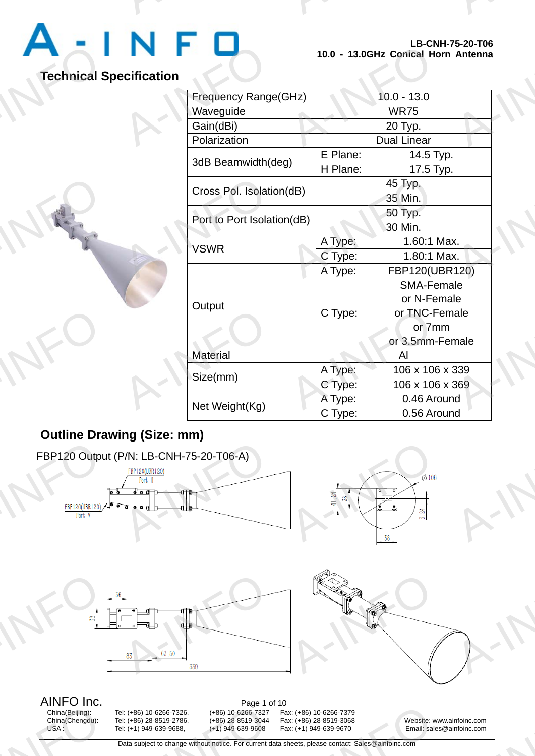# Technical S

A-INFORMATION CONTINUES.

A-INFO

A-INFORMATION CONTINUES.

# **Technical Specification**

A-INFO

A-INFO

|                   |                            | 10.0 - 13.0GHz Conical Horn Antenna | LD-VNN-10-ZV-100 |  |
|-------------------|----------------------------|-------------------------------------|------------------|--|
| <b>cification</b> |                            |                                     |                  |  |
|                   | Frequency Range(GHz)       |                                     | $10.0 - 13.0$    |  |
|                   | Waveguide                  | <b>WR75</b>                         |                  |  |
|                   | Gain(dBi)                  | 20 Typ.                             |                  |  |
|                   | Polarization               | <b>Dual Linear</b>                  |                  |  |
|                   | 3dB Beamwidth(deg)         | E Plane:                            | 14.5 Typ.        |  |
|                   |                            | H Plane:                            | 17.5 Typ.        |  |
|                   | Cross Pol. Isolation(dB)   | 45 Typ.                             |                  |  |
|                   |                            |                                     | 35 Min.          |  |
|                   | Port to Port Isolation(dB) |                                     | 50 Typ.          |  |
|                   |                            | 30 Min.                             |                  |  |
|                   | <b>VSWR</b>                | A Type:                             | 1.60:1 Max.      |  |
|                   |                            | C Type:                             | 1.80:1 Max.      |  |
|                   | Output                     | A Type:                             | FBP120(UBR120)   |  |
|                   |                            |                                     | SMA-Female       |  |
|                   |                            |                                     | or N-Female      |  |
|                   |                            | C Type:                             | or TNC-Female    |  |
|                   |                            |                                     | or 7mm           |  |
|                   |                            |                                     | or 3.5mm-Female  |  |
|                   | <b>Material</b>            |                                     | Al               |  |
|                   | Size(mm)                   | A Type:                             | 106 x 106 x 339  |  |
|                   |                            | C Type:                             | 106 x 106 x 369  |  |
|                   | Net Weight(Kg)             | A Type:                             | 0.46 Around      |  |
|                   |                            | C Type:                             | 0.56 Around      |  |

# **Outline Drawing (Size: mm)**



China(Beijing): Tel: (+86) 10-6266-7326, (+86) 10-6266-7327 Fax: (+86) 10-6266-7379 China(Beijing):<br>China(Chengdu):<br>USA :

12 (+86) 10-6266-7379<br>
12 Ax: (+86) 28-8519-3068<br>
12 A-INFO 1249-639-9670<br>
12 A-INFO 1249-639-9670<br>
12 A-INFO 1249-639-9670<br>
12 A-INFO 1249-639-9670<br>
12 A-INFO 1249-2011<br>
12 A-INFO 1249-2011<br>
1249-2011<br>
1249-2011<br>
1249-201

China(Chengdu): Tel: (+86) 28-8519-2786, (+86) 28-8519-3044 Fax: (+86) 28-8519-3068 Website: www.ainfoinc.com<br>USA : Tel: (+1) 949-639-9688, (+1) 949-639-9608 Fax: (+1) 949-639-9670 Email: sales@ainfoinc.com Email: sales@ainfoinc.com infoinc.com

Data subject to change without notice. For current data sheets, please contact: Sales@ainfoinc.com - rage 1<br>
1998-10-6266-7326, (+86) 10-6266-7327<br>
1999-639-9688, (+86) 1949-639-9608<br>
1949-639-9688, (+1) 949-639-9608<br>
20 Data subject to change without notice. For current d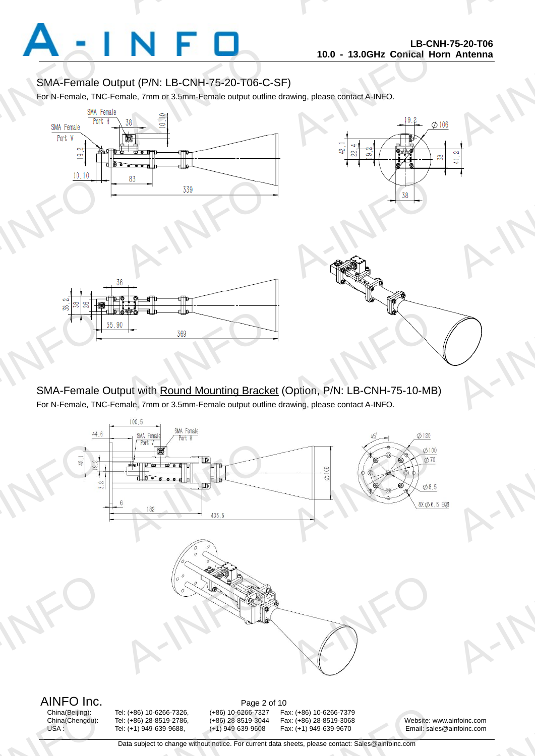

A-INFO

A-INFORMATION CONTINUES.

# SMA-Female Output (P/N: LB-CNH-75-20-T06-C-SF)

For N-Female, TNC-Female, 7mm or 3.5mm-Female output outline drawing, please contact A-INFO.

A-INFORMATION CONTINUES.



SMA-Female Output with Round Mounting Bracket (Option, P/N: LB-CNH-75-10-MB) For N-Female, TNC-Female, 7mm or 3.5mm-Female output outline drawing, please contact A-INFO.



China(Beijing):<br>China(Chengdu):<br>USA :

- rage 2 u<br>
1. (+86) 10-6266-7326, (+86) 10-6266-7327<br>
1. (+86) 28-8519-2786, (+86) 28-8519-3044<br>
1. (+1) 949-639-9688, (+1) 949-639-9608<br>
20ta subject to change without notice. For current d

China(Beijing): Tel: (+86) 10-6266-7326, (+86) 10-6266-7327 Fax: (+86) 10-6266-7379 12 (+86) 10-6266-7379<br>
12 Ax: (+86) 28-8519-3068<br>
12 A-INFO 1249-639-9670<br>
12 A-INFO 1249-639-9670<br>
12 A-INFO 1249-639-9670<br>
12 A-INFO 1249-639-9670<br>
12 A-INFO 1249-2011<br>
12 A-INFO 1249-2011<br>
1249-2011<br>
1249-2011<br>
1249-201

Tel: (+86) 28-8519-2786, (+86) 28-8519-3044 Fax: (+86) 28-8519-3068 Website: www.ainfoinc.com<br>Tel: (+1) 949-639-9608 Fax: (+1) 949-639-9670 Email: sales@ainfoinc.com USA : Tel: (+1) 949-639-9688, (+1) 949-639-9608 Fax: (+1) 949-639-9670 Email: sales@ainfoinc.com infoinc.com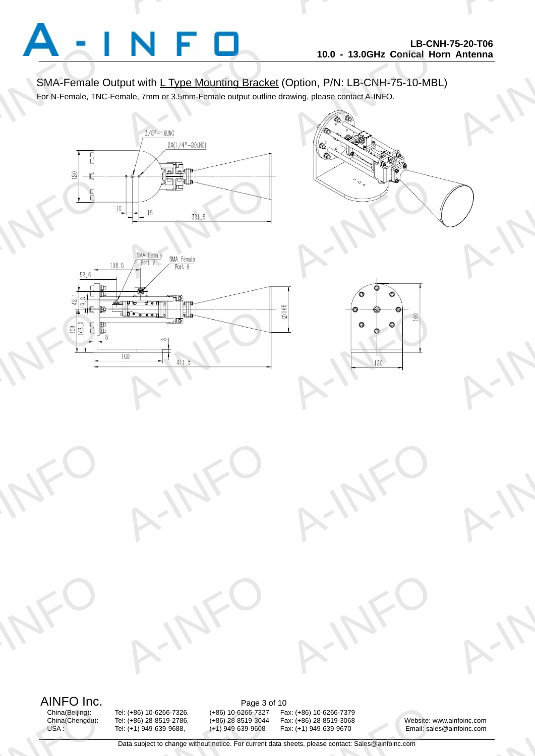

A-INFO

A-INFO

A-INFO

A-INFO

A-INFORMATION CONTINUES.

## SMA-Female Output with L Type Mounting Bracket (Option, P/N: LB-CNH-75-10-MBL)

For N-Female, TNC-Female, 7mm or 3.5mm-Female output outline drawing, please contact A-INFO.

A-INFORMATION CONTINUES.











A-IFO



A-IFO

AINFO Inc.<br>China(Beijing): Tel: (+86) 10-6266-7326, (+86) 10-6266-7327 Fa China(Beijing):<br>China(Chengdu):<br>USA :

A-INFO

A-INFO

China(Beijing): Tel: (+86) 10-6266-7326, (+86) 10-6266-7327 Fax: (+86) 10-6266-7379 - rage 3<br>
19. (+86) 10-6266-7326, (+86) 10-6266-7327<br>
19. (+86) 28-8519-2786, (+86) 28-8519-3044<br>
19. (+1) 949-639-9608 (+1) 949-639-9608<br>
20. Data subject to change without notice. For current d

12 (+86) 10-6266-7379<br>
12 Ax: (+86) 28-8519-3068<br>
12 A-INFO 1249-639-9670<br>
12 A-INFO 1249-639-9670<br>
12 A-INFO 1249-639-9670<br>
12 A-INFO 1249-639-9670<br>
12 A-INFO 1249-2011<br>
12 A-INFO 1249-2011<br>
1249-2011<br>
1249-2011<br>
1249-201

China(Chengdu): Tel: (+86) 28-8519-2786, (+86) 28-8519-3044 Fax: (+86) 28-8519-3068 Website: www.ainfoinc.com Fax: (+1) 949-639-9670 Email: sales@ainfoinc.com infoinc.com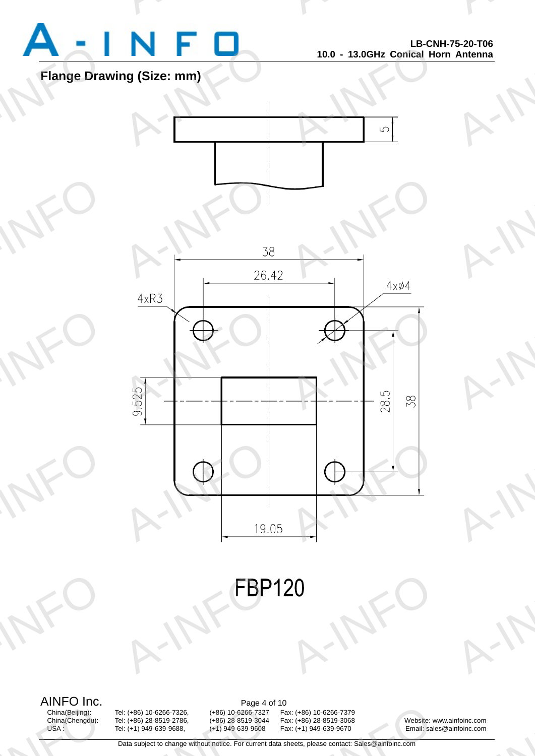

A-INFO

A-INFO

A-INFO

A-INFO

A-INFO

A-INFORMATION CONTINUES.

# **Flange Drawing (Size: mm)**

A-INFO

A-INFO

A-INFO

A-INFO



A-INFORM A-INFO

AINFO Inc.<br>China(Beijing): Tel: (+86) 10-6266-7326, (+86) 10-6266-7327 Fa China(Beijing):<br>China(Chengdu):<br>USA :

- rage 4<br>
1998 - 10-6266-7326, (+86) 10-6266-7327<br>
1999-639-9688, (+86) 1949-639-9608<br>
1949-639-9688, (+1) 949-639-9608<br>
1949-639-9608<br>
20ta subject to change without notice. For current d

China(Beijing): Tel: (+86) 10-6266-7326, (+86) 10-6266-7327 Fax: (+86) 10-6266-7379 12 (+86) 10-6266-7379<br>
12 Ax: (+86) 28-8519-3068<br>
12 A-INFO 1249-639-9670<br>
12 A-INFO 1249-639-9670<br>
12 A-INFO 1249-639-9670<br>
12 A-INFO 1249-639-9670<br>
12 A-INFO 1249-2011<br>
12 A-INFO 1249-2011<br>
1249-2011<br>
1249-2011<br>
1249-201

China(Chengdu): Tel: (+86) 28-8519-2786, (+86) 28-8519-3044 Fax: (+86) 28-8519-3068 Website: www.ainfoinc.com Email: sales@ainfoinc.com infoinc.com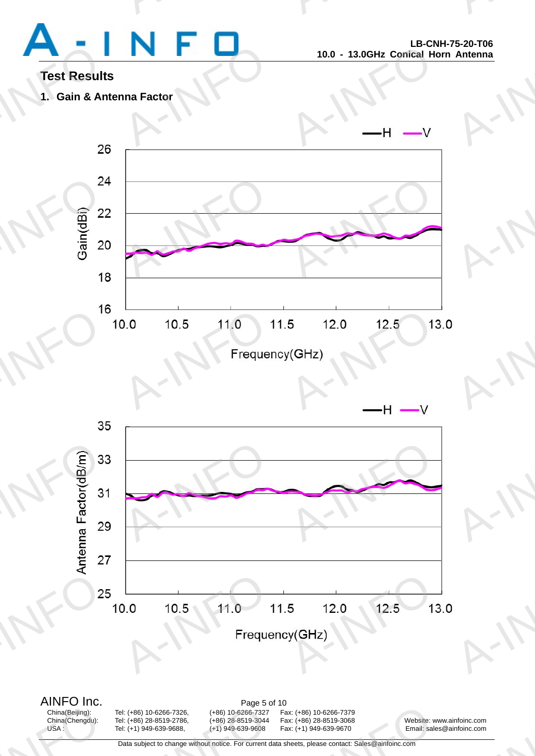# Test Result<br>1. Gain & An

A-INFORMATION CONTINUES.

A-INFO

A-INFORMATION CONTINUES.

# **Test Results**

**1. Gain & Antenna Factor** 





China(Beijing):<br>China(Chengdu):<br>USA :

AINFO Inc.<br>China(Beijing): Tel: (+86) 10-6266-7326, (+86) 10-6266-7327 Fa China(Beijing): Tel: (+86) 10-6266-7326, (+86) 10-6266-7327 Fax: (+86) 10-6266-7379 China(Chengdu): Tel: (+86) 28-8519-2786, (+86) 28-8519-3044 Fax: (+86) 28-8519-3068 Website: www.ainfoinc.com Tel: (+1) 949-639-9688, (+1) 949-639-9608 Fax: (+1) 949-639-9670 Email: sales@ainfoinc.com - rage 3<br>
19. (+86) 10-6266-7326, (+86) 10-6266-7327<br>
19. (+86) 28-8519-2786, (+86) 28-8519-3044<br>
19. (+1) 949-639-9608 (+1) 949-639-9608<br>
20. Data subject to change without notice. For current d

12 (+86) 10-6266-7379<br>
12 Ax: (+86) 28-8519-3068<br>
12 A-INFO 1249-639-9670<br>
12 A-INFO 1249-639-9670<br>
12 A-INFO 1249-639-9670<br>
12 A-INFO 1249-639-9670<br>
12 A-INFO 1249-2011<br>
12 A-INFO 1249-2011<br>
1249-2011<br>
1249-2011<br>
1249-201

infoinc.com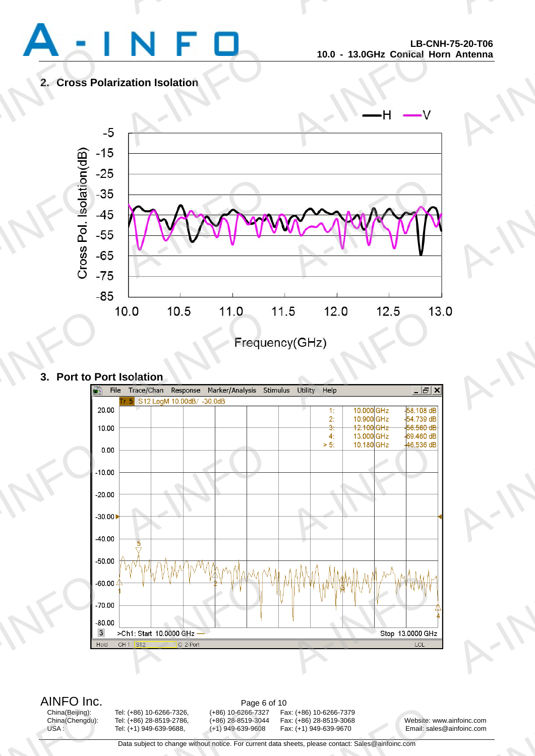

A-INFO

A-INFO

A-INFO

A-INFORMATION CONTINUES.

# **2. Cross Polarization Isolation**



### **3. Port to Port Isolation**



AINFO Inc.<br>China(Beijing): Tel: (+86) 10-6266-7326, (+86) 10-6266-7327 Fa China(Beijing):<br>China(Chengdu):<br>USA :

- rage of<br>
1. (+86) 10-6266-7326, (+86) 10-6266-7327<br>
1. (+86) 28-8519-2786, (+86) 28-8519-3044<br>
1. (+1) 949-639-9688, (+1) 949-639-9608<br>
20ta subject to change without notice. For current d

China(Beijing): Tel: (+86) 10-6266-7326, (+86) 10-6266-7327 Fax: (+86) 10-6266-7379 12 (+86) 10-6266-7379<br>
12 Ax: (+86) 28-8519-3068<br>
12 A-INFO 1249-639-9670<br>
12 A-INFO 1249-639-9670<br>
12 A-INFO 1249-639-9670<br>
12 A-INFO 1249-639-9670<br>
12 A-INFO 1249-2011<br>
12 A-INFO 1249-2011<br>
1249-2011<br>
1249-2011<br>
1249-201

China(Chengdu): Tel: (+86) 28-8519-2786, (+86) 28-8519-3044 Fax: (+86) 28-8519-3068 Website: www.ainfoinc.com USA : Tel: (+1) 949-639-9688, (+1) 949-639-9608 Fax: (+1) 949-639-9670 Email: sales@ainfoinc.com infoinc.com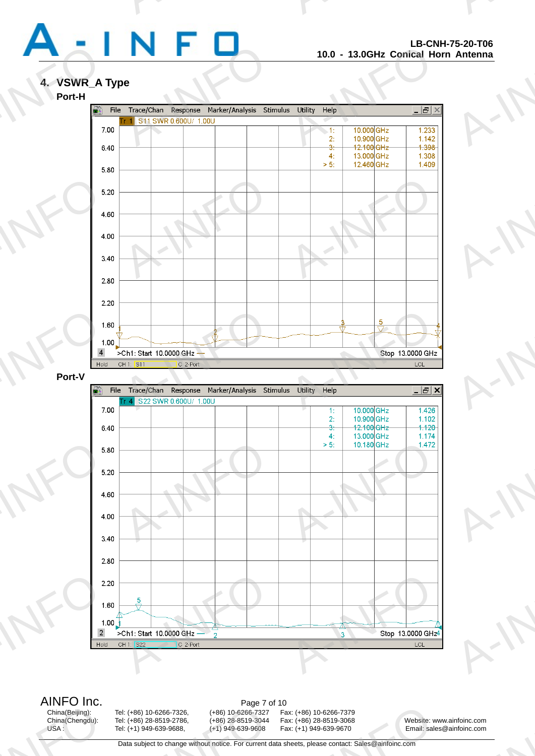

A-INFO

A-INFO

A-INFO

A-INFO

A-INFO

A-INFORMATION CONTINUES.

# **4. VSWR\_A Type**



AINFO Inc.<br>China(Beijing): Tel: (+86) 10-6266-7326, (+86) 10-6266-7327 Fa China(Beijing):<br>China(Chengdu):<br>USA :

- Page 7<br>
1997-1998 - 10-6266-7326, (+86)<br>
1998-8519-2786, (+86) 28-8519-2786, (+86) 28-8519-3044<br>
1999-639-9608, (+1) 949-639-9608<br>
1999-639-9608<br>
20 Data subject to change without notice. For current d

China(Beijing): Tel: (+86) 10-6266-7326, (+86) 10-6266-7327 Fax: (+86) 10-6266-7379 12 (+86) 10-6266-7379<br>
12 Ax: (+86) 28-8519-3068<br>
12 A-INFO 1249-639-9670<br>
12 A-INFO 1249-639-9670<br>
12 A-INFO 1249-639-9670<br>
12 A-INFO 1249-639-9670<br>
12 A-INFO 1249-2011<br>
12 A-INFO 1249-2011<br>
1249-2011<br>
1249-2011<br>
1249-201

China(Chengdu): Tel: (+86) 28-8519-2786, (+86) 28-8519-3044 Fax: (+86) 28-8519-3068 Website: www.ainfoinc.com USA : Tel: (+1) 949-639-9688, (+1) 949-639-9608 Fax: (+1) 949-639-9670 Email: sales@ainfoinc.com infoinc.com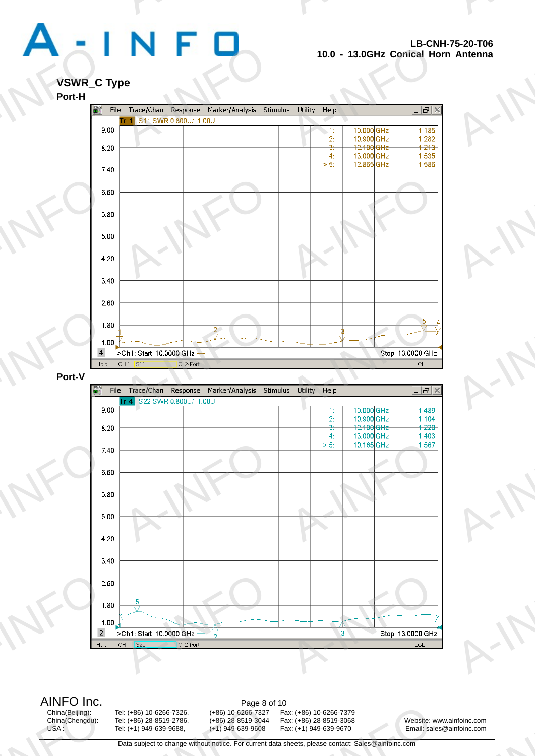

A-INFO

A-INFO

A-INFO

A-INFO

A-INFO

A-INFORMATION CONTINUES.

### **VSWR\_C Type**



AINFO Inc.<br>China(Beijing): Tel: (+86) 10-6266-7326, (+86) 10-6266-7327 Fa China(Beijing):<br>China(Chengdu):<br>USA :

rage of<br>
1998 - 10-6266-7326, (+86) 10-6266-7327<br>
1999-639-9688, (+86) 1949-639-9608<br>
1949-639-9688, (+1) 949-639-9608<br>
1949-639-9608<br>
20ta subject to change without notice. For current d

China(Beijing): Tel: (+86) 10-6266-7326, (+86) 10-6266-7327 Fax: (+86) 10-6266-7379 12 (+86) 10-6266-7379<br>
12 Ax: (+86) 28-8519-3068<br>
12 A-INFO 1249-639-9670<br>
12 A-INFO 1249-639-9670<br>
12 A-INFO 1249-639-9670<br>
12 A-INFO 1249-639-9670<br>
12 A-INFO 1249-2011<br>
12 A-INFO 1249-2011<br>
1249-2011<br>
1249-2011<br>
1249-201

China(Chengdu): Tel: (+86) 28-8519-2786, (+86) 28-8519-3044 Fax: (+86) 28-8519-3068 Website: www.ainfoinc.com USA : Tel: (+1) 949-639-9688, (+1) 949-639-9608 Fax: (+1) 949-639-9670 Email: sales@ainfoinc.com infoinc.com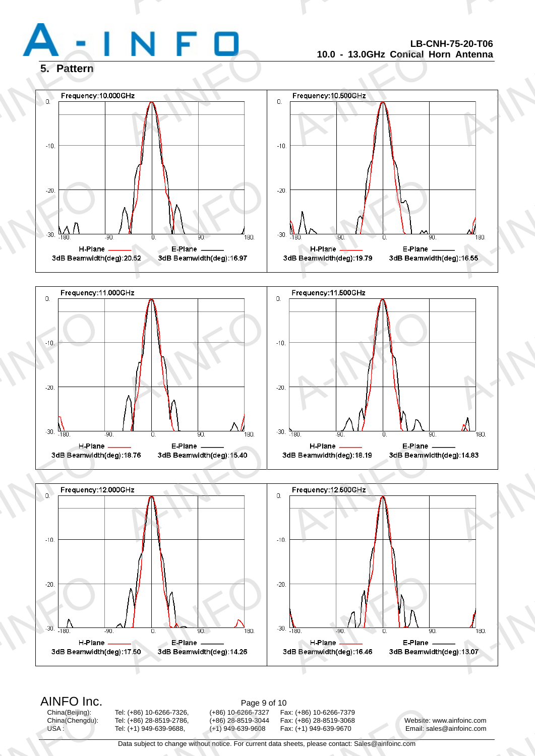

A-INFO

A-INFORMATION CONTINUES.

### **5. Pattern**



# AINFO Inc.<br>China(Beijing): Tel: (+86) 10-6266-7326, (+86) 10-6266-7327 Fa

China(Beijing):<br>China(Chengdu):<br>USA :

 $-20.$ <br> $-30.$ <br> $-180.$ <br> $H-Plane$ <br> $3dB Beamwidth($ 

rage 9 d<br>
1998 - 10-6266-7326, (+86) 10-6266-7327<br>
1999-639-9688, (+86) 1949-639-9608<br>
1949-639-9688, (+1) 949-639-9608<br>
1949-639-9608<br>
20ta subject to change without notice. For current d

A-90.<br>
B-Plane<br>
E-Plane<br>
3dB Beamwidth(deg):14.26<br>
180.<br>
180.<br>
180.<br>
180.<br>
180.<br>
180.<br>
180.<br>
180.<br>
180.<br>
180.<br>
180.<br>
180.<br>
180.<br>
180.<br>
180.<br>
180.<br>
180.<br>
180.<br>
180.<br>
180.<br>
180.<br>
180.<br>
180.<br>
180.<br>
180.<br>
180.<br>
180.<br>
180.<br>
180

China(Beijing): Tel: (+86) 10-6266-7326, (+86) 10-6266-7327 Fax: (+86) 10-6266-7379 12 (+86) 10-6266-7379<br>
12 Ax: (+86) 28-8519-3068<br>
12 A-INFO 1249-639-9670<br>
12 A-INFO 1249-639-9670<br>
12 A-INFO 1249-639-9670<br>
12 A-INFO 1249-639-9670<br>
12 A-INFO 1249-2011<br>
12 A-INFO 1249-2011<br>
1249-2011<br>
1249-2011<br>
1249-201

H. Plane<br>B Beamwidth (deg): 16.46 3dB Beamwidth

Tel: (+86) 28-8519-2786, (+86) 28-8519-3044 Fax: (+86) 28-8519-3068 Website: www.ainfoinc.com<br>Tel: (+1) 949-639-9608 Fax: (+1) 949-639-9670 Email: sales@ainfoinc.com USA : Tel: (+1) 949-639-9688, (+1) 949-639-9608 Fax: (+1) 949-639-9670 Email: sales@ainfoinc.com infoinc.com

-<br>-<br>g):13.07

Data subject to change without notice. For current data sheets, please contact: Sales@ainfoinc.com

 $-20.$ 

 $-30.$